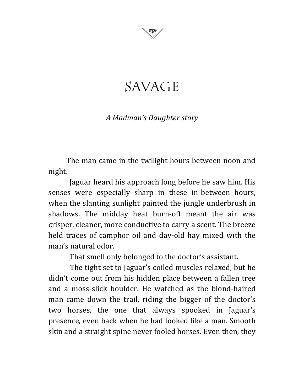

## SAVAGE

## *A Madman's Daughter story*

The man came in the twilight hours between noon and night.

Jaguar heard his approach long before he saw him. His senses were especially sharp in these in-between hours, when the slanting sunlight painted the jungle underbrush in shadows. The midday heat burn-off meant the air was crisper, cleaner, more conductive to carry a scent. The breeze held traces of camphor oil and day-old hay mixed with the man's natural odor.

That smell only belonged to the doctor's assistant.

The tight set to Jaguar's coiled muscles relaxed, but he didn't come out from his hidden place between a fallen tree and a moss-slick boulder. He watched as the blond-haired man came down the trail, riding the bigger of the doctor's two horses, the one that always spooked in Jaguar's presence, even back when he had looked like a man. Smooth skin and a straight spine never fooled horses. Even then, they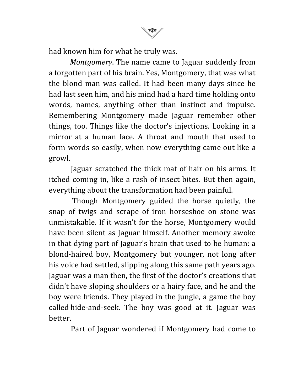had known him for what he truly was.

*Montgomery*. The name came to Jaguar suddenly from a forgotten part of his brain. Yes, Montgomery, that was what the blond man was called. It had been many days since he had last seen him, and his mind had a hard time holding onto words, names, anything other than instinct and impulse. Remembering Montgomery made Jaguar remember other things, too. Things like the doctor's injections. Looking in a mirror at a human face. A throat and mouth that used to form words so easily, when now everything came out like a growl.

Jaguar scratched the thick mat of hair on his arms. It itched coming in, like a rash of insect bites. But then again, everything about the transformation had been painful.

Though Montgomery guided the horse quietly, the snap of twigs and scrape of iron horseshoe on stone was unmistakable. If it wasn't for the horse, Montgomery would have been silent as Jaguar himself. Another memory awoke in that dying part of Jaguar's brain that used to be human: a blond-haired boy, Montgomery but younger, not long after his voice had settled, slipping along this same path years ago. Jaguar was a man then, the first of the doctor's creations that didn't have sloping shoulders or a hairy face, and he and the boy were friends. They played in the jungle, a game the boy called hide-and-seek. The boy was good at it. Jaguar was better.

Part of Jaguar wondered if Montgomery had come to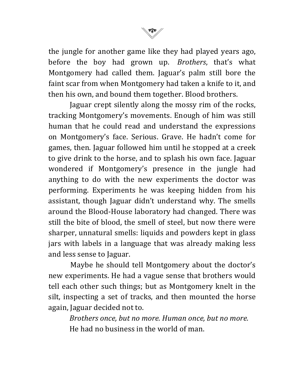

the jungle for another game like they had played years ago, before the boy had grown up. *Brothers*, that's what Montgomery had called them. Jaguar's palm still bore the faint scar from when Montgomery had taken a knife to it, and then his own, and bound them together. Blood brothers.

Jaguar crept silently along the mossy rim of the rocks, tracking Montgomery's movements. Enough of him was still human that he could read and understand the expressions on Montgomery's face. Serious. Grave. He hadn't come for games, then. Jaguar followed him until he stopped at a creek to give drink to the horse, and to splash his own face. Jaguar wondered if Montgomery's presence in the jungle had anything to do with the new experiments the doctor was performing. Experiments he was keeping hidden from his assistant, though Jaguar didn't understand why. The smells around the Blood-House laboratory had changed. There was still the bite of blood, the smell of steel, but now there were sharper, unnatural smells: liquids and powders kept in glass jars with labels in a language that was already making less and less sense to Jaguar.

Maybe he should tell Montgomery about the doctor's new experiments. He had a vague sense that brothers would tell each other such things; but as Montgomery knelt in the silt, inspecting a set of tracks, and then mounted the horse again, Jaguar decided not to.

*Brothers once, but no more. Human once, but no more.* He had no business in the world of man.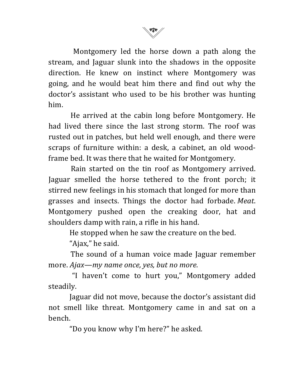

Montgomery led the horse down a path along the stream, and Jaguar slunk into the shadows in the opposite direction. He knew on instinct where Montgomery was going, and he would beat him there and find out why the doctor's assistant who used to be his brother was hunting him.

He arrived at the cabin long before Montgomery. He had lived there since the last strong storm. The roof was rusted out in patches, but held well enough, and there were scraps of furniture within: a desk, a cabinet, an old woodframe bed. It was there that he waited for Montgomery.

Rain started on the tin roof as Montgomery arrived. Jaguar smelled the horse tethered to the front porch; it stirred new feelings in his stomach that longed for more than grasses and insects. Things the doctor had forbade. *Meat*. Montgomery pushed open the creaking door, hat and shoulders damp with rain, a rifle in his hand.

He stopped when he saw the creature on the bed.

"Ajax," he said.

The sound of a human voice made Jaguar remember more. Ajax—my name once, yes, but no more.

"I haven't come to hurt you," Montgomery added steadily.

Jaguar did not move, because the doctor's assistant did not smell like threat. Montgomery came in and sat on a bench.

"Do you know why I'm here?" he asked.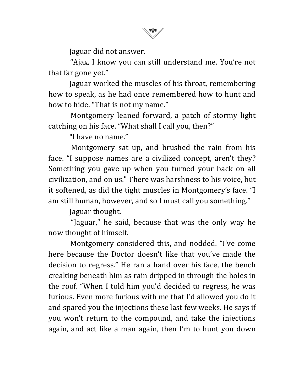

Jaguar did not answer.

"Ajax, I know you can still understand me. You're not that far gone yet."

Jaguar worked the muscles of his throat, remembering how to speak, as he had once remembered how to hunt and how to hide. "That is not my name."

Montgomery leaned forward, a patch of stormy light catching on his face. "What shall I call you, then?"

"I have no name."

Montgomery sat up, and brushed the rain from his face. "I suppose names are a civilized concept, aren't they? Something you gave up when you turned your back on all civilization, and on us." There was harshness to his voice, but it softened, as did the tight muscles in Montgomery's face. "I am still human, however, and so I must call you something."

Jaguar thought.

"Jaguar," he said, because that was the only way he now thought of himself.

Montgomery considered this, and nodded. "I've come here because the Doctor doesn't like that you've made the decision to regress." He ran a hand over his face, the bench creaking beneath him as rain dripped in through the holes in the roof. "When I told him you'd decided to regress, he was furious. Even more furious with me that I'd allowed you do it and spared you the injections these last few weeks. He says if you won't return to the compound, and take the injections again, and act like a man again, then I'm to hunt you down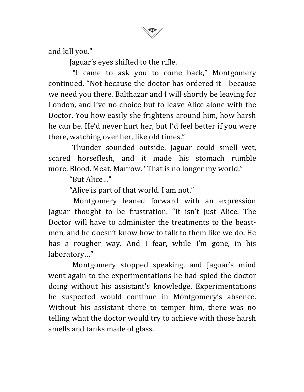

and kill you."

Jaguar's eyes shifted to the rifle.

"I came to ask you to come back," Montgomery continued. "Not because the doctor has ordered it—because we need you there. Balthazar and I will shortly be leaving for London, and I've no choice but to leave Alice alone with the Doctor. You how easily she frightens around him, how harsh he can be. He'd never hurt her, but I'd feel better if you were there, watching over her, like old times."

Thunder sounded outside. Jaguar could smell wet, scared horseflesh, and it made his stomach rumble more. Blood. Meat. Marrow. "That is no longer my world."

"But Alice…"

"Alice is part of that world. I am not."

Montgomery leaned forward with an expression Jaguar thought to be frustration. "It isn't just Alice. The Doctor will have to administer the treatments to the beastmen, and he doesn't know how to talk to them like we do. He has a rougher way. And I fear, while I'm gone, in his laboratory…"

Montgomery stopped speaking, and Jaguar's mind went again to the experimentations he had spied the doctor doing without his assistant's knowledge. Experimentations he suspected would continue in Montgomery's absence. Without his assistant there to temper him, there was no telling what the doctor would try to achieve with those harsh smells and tanks made of glass.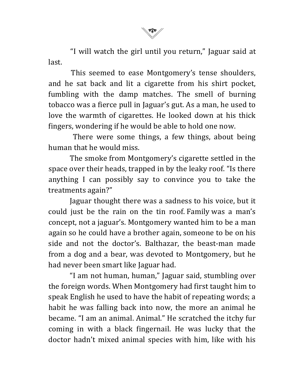

"I will watch the girl until you return," Jaguar said at last.

This seemed to ease Montgomery's tense shoulders, and he sat back and lit a cigarette from his shirt pocket, fumbling with the damp matches. The smell of burning tobacco was a fierce pull in Jaguar's gut. As a man, he used to love the warmth of cigarettes. He looked down at his thick fingers, wondering if he would be able to hold one now.

There were some things, a few things, about being human that he would miss.

The smoke from Montgomery's cigarette settled in the space over their heads, trapped in by the leaky roof. "Is there anything I can possibly say to convince you to take the treatments again?"

Jaguar thought there was a sadness to his voice, but it could just be the rain on the tin roof. Family was a man's concept, not a jaguar's. Montgomery wanted him to be a man again so he could have a brother again, someone to be on his side and not the doctor's. Balthazar, the beast-man made from a dog and a bear, was devoted to Montgomery, but he had never been smart like Jaguar had.

"I am not human, human," Jaguar said, stumbling over the foreign words. When Montgomery had first taught him to speak English he used to have the habit of repeating words; a habit he was falling back into now, the more an animal he became. "I am an animal. Animal." He scratched the itchy fur coming in with a black fingernail. He was lucky that the doctor hadn't mixed animal species with him, like with his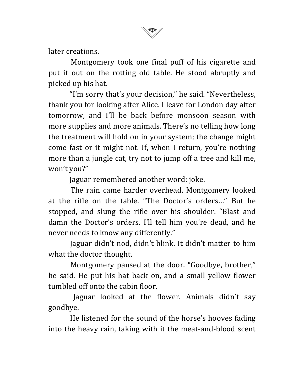later creations.

Montgomery took one final puff of his cigarette and put it out on the rotting old table. He stood abruptly and picked up his hat.

"I'm sorry that's your decision," he said. "Nevertheless, thank you for looking after Alice. I leave for London day after tomorrow, and I'll be back before monsoon season with more supplies and more animals. There's no telling how long the treatment will hold on in your system; the change might come fast or it might not. If, when I return, you're nothing more than a jungle cat, try not to jump off a tree and kill me, won't you?"

Jaguar remembered another word: joke.

The rain came harder overhead. Montgomery looked at the rifle on the table. "The Doctor's orders..." But he stopped, and slung the rifle over his shoulder. "Blast and damn the Doctor's orders. I'll tell him you're dead, and he never needs to know any differently."

Jaguar didn't nod, didn't blink. It didn't matter to him what the doctor thought.

Montgomery paused at the door. "Goodbye, brother," he said. He put his hat back on, and a small yellow flower tumbled off onto the cabin floor.

Jaguar looked at the flower. Animals didn't say goodbye.

He listened for the sound of the horse's hooves fading into the heavy rain, taking with it the meat-and-blood scent